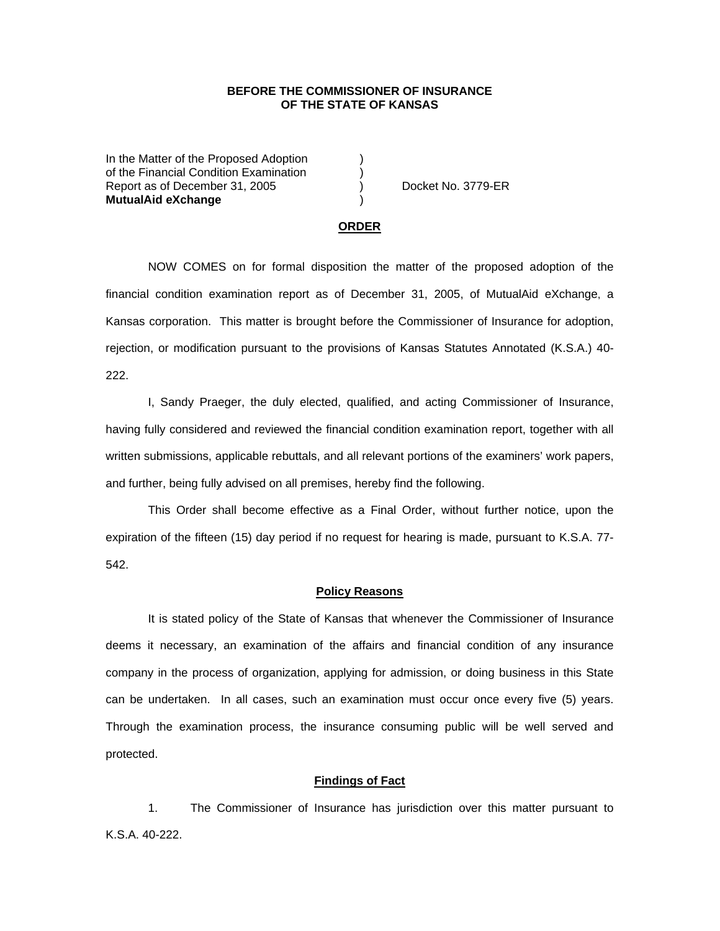# **BEFORE THE COMMISSIONER OF INSURANCE OF THE STATE OF KANSAS**

In the Matter of the Proposed Adoption of the Financial Condition Examination ) Report as of December 31, 2005 (and Separate No. 3779-ER **MutualAid eXchange** )

#### **ORDER**

 NOW COMES on for formal disposition the matter of the proposed adoption of the financial condition examination report as of December 31, 2005, of MutualAid eXchange, a Kansas corporation. This matter is brought before the Commissioner of Insurance for adoption, rejection, or modification pursuant to the provisions of Kansas Statutes Annotated (K.S.A.) 40- 222.

 I, Sandy Praeger, the duly elected, qualified, and acting Commissioner of Insurance, having fully considered and reviewed the financial condition examination report, together with all written submissions, applicable rebuttals, and all relevant portions of the examiners' work papers, and further, being fully advised on all premises, hereby find the following.

This Order shall become effective as a Final Order, without further notice, upon the expiration of the fifteen (15) day period if no request for hearing is made, pursuant to K.S.A. 77- 542.

#### **Policy Reasons**

 It is stated policy of the State of Kansas that whenever the Commissioner of Insurance deems it necessary, an examination of the affairs and financial condition of any insurance company in the process of organization, applying for admission, or doing business in this State can be undertaken. In all cases, such an examination must occur once every five (5) years. Through the examination process, the insurance consuming public will be well served and protected.

## **Findings of Fact**

 1. The Commissioner of Insurance has jurisdiction over this matter pursuant to K.S.A. 40-222.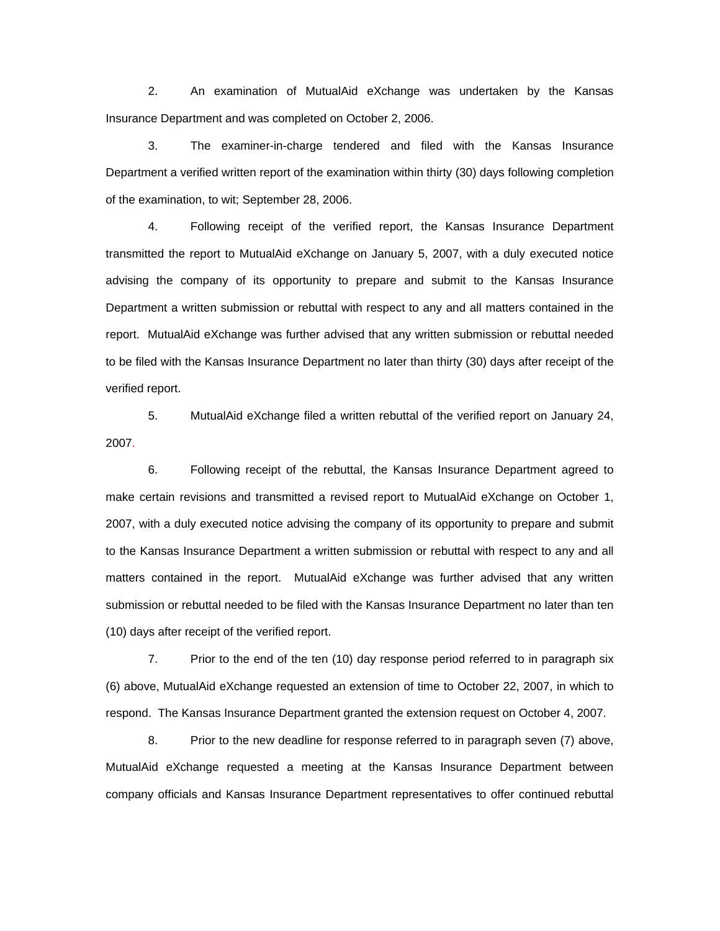2. An examination of MutualAid eXchange was undertaken by the Kansas Insurance Department and was completed on October 2, 2006.

 3. The examiner-in-charge tendered and filed with the Kansas Insurance Department a verified written report of the examination within thirty (30) days following completion of the examination, to wit; September 28, 2006.

 4. Following receipt of the verified report, the Kansas Insurance Department transmitted the report to MutualAid eXchange on January 5, 2007, with a duly executed notice advising the company of its opportunity to prepare and submit to the Kansas Insurance Department a written submission or rebuttal with respect to any and all matters contained in the report. MutualAid eXchange was further advised that any written submission or rebuttal needed to be filed with the Kansas Insurance Department no later than thirty (30) days after receipt of the verified report.

 5. MutualAid eXchange filed a written rebuttal of the verified report on January 24, 2007.

 6. Following receipt of the rebuttal, the Kansas Insurance Department agreed to make certain revisions and transmitted a revised report to MutualAid eXchange on October 1, 2007, with a duly executed notice advising the company of its opportunity to prepare and submit to the Kansas Insurance Department a written submission or rebuttal with respect to any and all matters contained in the report. MutualAid eXchange was further advised that any written submission or rebuttal needed to be filed with the Kansas Insurance Department no later than ten (10) days after receipt of the verified report.

 7. Prior to the end of the ten (10) day response period referred to in paragraph six (6) above, MutualAid eXchange requested an extension of time to October 22, 2007, in which to respond. The Kansas Insurance Department granted the extension request on October 4, 2007.

 8. Prior to the new deadline for response referred to in paragraph seven (7) above, MutualAid eXchange requested a meeting at the Kansas Insurance Department between company officials and Kansas Insurance Department representatives to offer continued rebuttal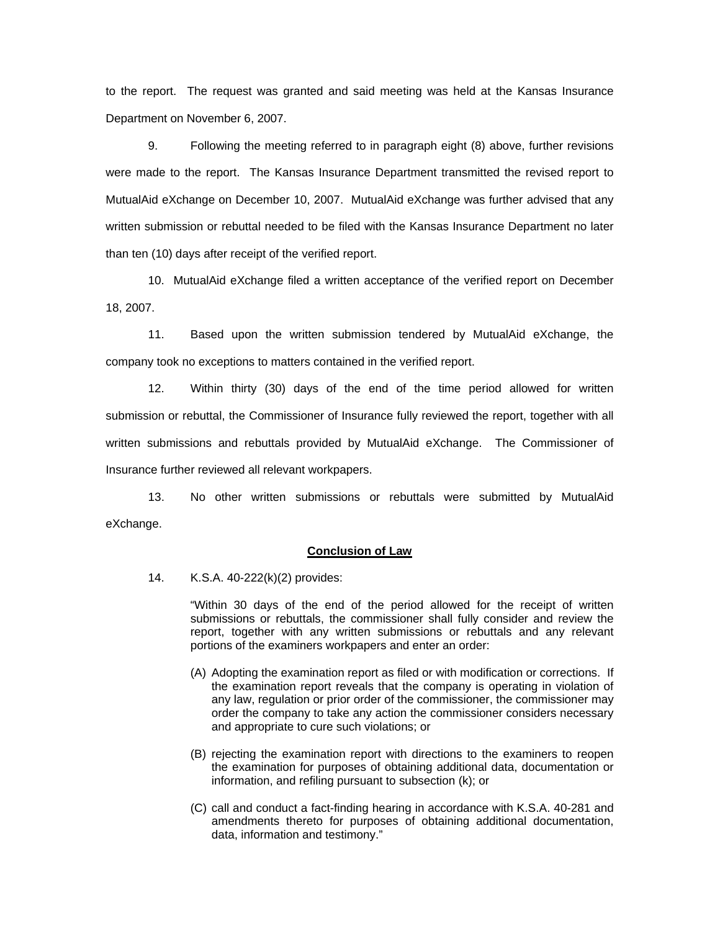to the report. The request was granted and said meeting was held at the Kansas Insurance Department on November 6, 2007.

 9. Following the meeting referred to in paragraph eight (8) above, further revisions were made to the report. The Kansas Insurance Department transmitted the revised report to MutualAid eXchange on December 10, 2007. MutualAid eXchange was further advised that any written submission or rebuttal needed to be filed with the Kansas Insurance Department no later than ten (10) days after receipt of the verified report.

10. MutualAid eXchange filed a written acceptance of the verified report on December 18, 2007.

11. Based upon the written submission tendered by MutualAid eXchange, the company took no exceptions to matters contained in the verified report.

 12. Within thirty (30) days of the end of the time period allowed for written submission or rebuttal, the Commissioner of Insurance fully reviewed the report, together with all written submissions and rebuttals provided by MutualAid eXchange. The Commissioner of Insurance further reviewed all relevant workpapers.

 13. No other written submissions or rebuttals were submitted by MutualAid eXchange.

## **Conclusion of Law**

14. K.S.A. 40-222(k)(2) provides:

"Within 30 days of the end of the period allowed for the receipt of written submissions or rebuttals, the commissioner shall fully consider and review the report, together with any written submissions or rebuttals and any relevant portions of the examiners workpapers and enter an order:

- (A) Adopting the examination report as filed or with modification or corrections. If the examination report reveals that the company is operating in violation of any law, regulation or prior order of the commissioner, the commissioner may order the company to take any action the commissioner considers necessary and appropriate to cure such violations; or
- (B) rejecting the examination report with directions to the examiners to reopen the examination for purposes of obtaining additional data, documentation or information, and refiling pursuant to subsection (k); or
- (C) call and conduct a fact-finding hearing in accordance with K.S.A. 40-281 and amendments thereto for purposes of obtaining additional documentation, data, information and testimony."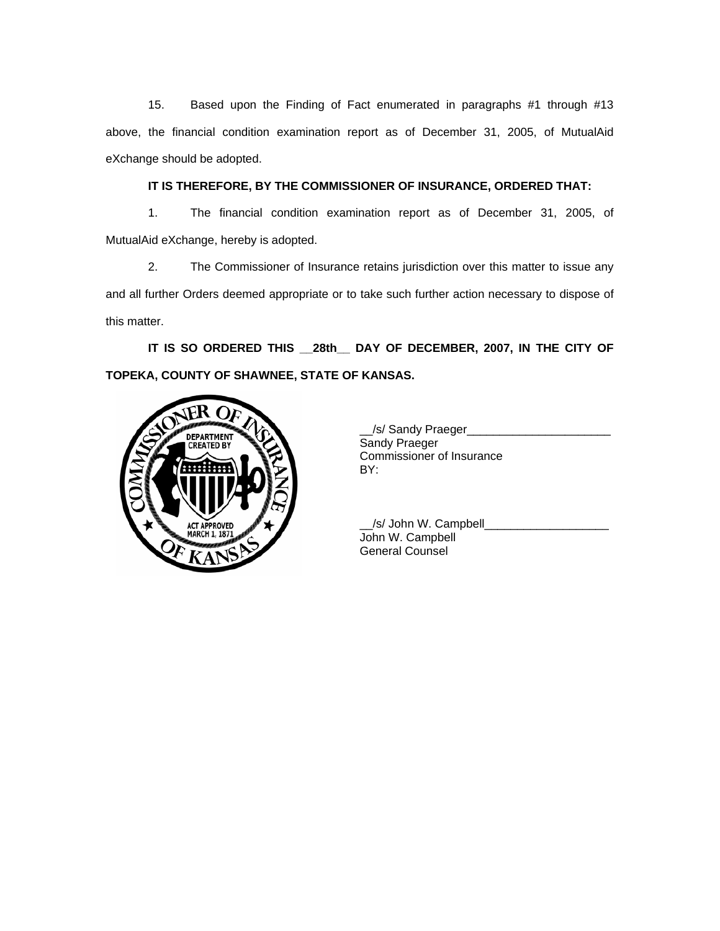15. Based upon the Finding of Fact enumerated in paragraphs #1 through #13 above, the financial condition examination report as of December 31, 2005, of MutualAid eXchange should be adopted.

# **IT IS THEREFORE, BY THE COMMISSIONER OF INSURANCE, ORDERED THAT:**

 1. The financial condition examination report as of December 31, 2005, of MutualAid eXchange, hereby is adopted.

 2. The Commissioner of Insurance retains jurisdiction over this matter to issue any and all further Orders deemed appropriate or to take such further action necessary to dispose of this matter.

**IT IS SO ORDERED THIS \_\_28th\_\_ DAY OF DECEMBER, 2007, IN THE CITY OF TOPEKA, COUNTY OF SHAWNEE, STATE OF KANSAS.** 



| <b>DEPARTMENT</b><br>  CREATED BY | /s/ Sandy Praeger<br>Sandy Praeger<br>Commissioner of Insurance |
|-----------------------------------|-----------------------------------------------------------------|
|                                   | BY:                                                             |

 \_\_/s/ John W. Campbell\_\_\_\_\_\_\_\_\_\_\_\_\_\_\_\_\_\_\_ John W. Campbell General Counsel